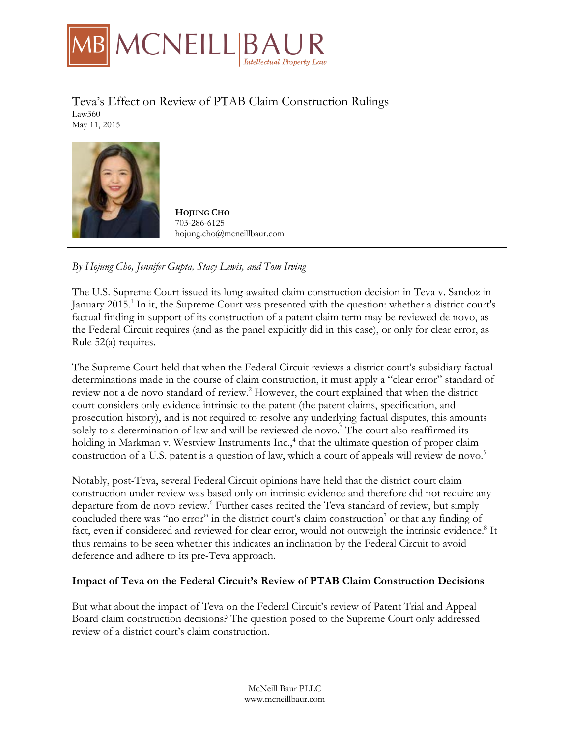

Teva's Effect on Review of PTAB Claim Construction Rulings Law360 May 11, 2015



**HOIUNG CHO** 703-286-6125 hojung.cho@mcneillbaur.com

*By Hojung Cho, Jennifer Gupta, Stacy Lewis, and Tom Irving*

The U.S. Supreme Court issued its long-awaited claim construction decision in Teva v. Sandoz in January 2015.<sup>1</sup> In it, the Supreme Court was presented with the question: whether a district court's factual finding in support of its construction of a patent claim term may be reviewed de novo, as the Federal Circuit requires (and as the panel explicitly did in this case), or only for clear error, as Rule 52(a) requires.

The Supreme Court held that when the Federal Circuit reviews a district court's subsidiary factual determinations made in the course of claim construction, it must apply a "clear error" standard of review not a de novo standard of review.<sup>2</sup> However, the court explained that when the district court considers only evidence intrinsic to the patent (the patent claims, specification, and prosecution history), and is not required to resolve any underlying factual disputes, this amounts solely to a determination of law and will be reviewed de novo.<sup>3</sup> The court also reaffirmed its holding in Markman v. Westview Instruments Inc.,<sup>4</sup> that the ultimate question of proper claim construction of a U.S. patent is a question of law, which a court of appeals will review de novo.<sup>5</sup>

Notably, post-Teva, several Federal Circuit opinions have held that the district court claim construction under review was based only on intrinsic evidence and therefore did not require any departure from de novo review.<sup>6</sup> Further cases recited the Teva standard of review, but simply concluded there was "no error" in the district court's claim construction<sup>7</sup> or that any finding of fact, even if considered and reviewed for clear error, would not outweigh the intrinsic evidence.<sup>8</sup> It thus remains to be seen whether this indicates an inclination by the Federal Circuit to avoid deference and adhere to its pre-Teva approach.

## **Impact of Teva on the Federal Circuit's Review of PTAB Claim Construction Decisions**

But what about the impact of Teva on the Federal Circuit's review of Patent Trial and Appeal Board claim construction decisions? The question posed to the Supreme Court only addressed review of a district court's claim construction.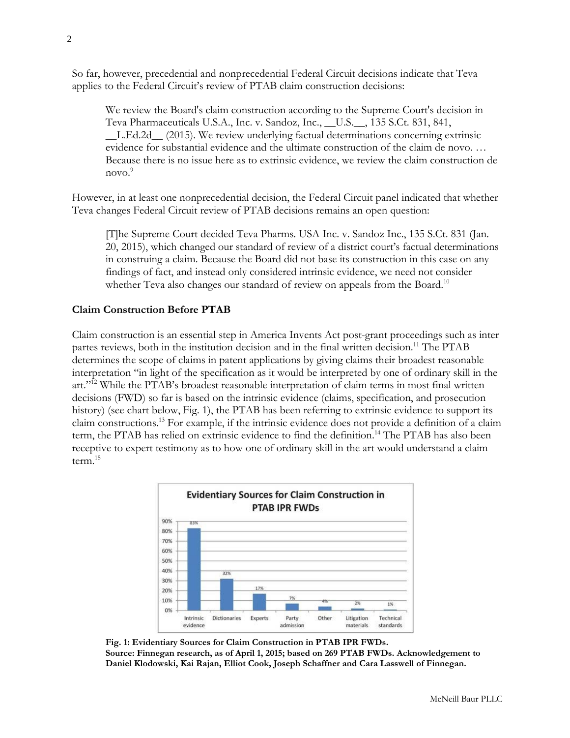So far, however, precedential and nonprecedential Federal Circuit decisions indicate that Teva applies to the Federal Circuit's review of PTAB claim construction decisions:

We review the Board's claim construction according to the Supreme Court's decision in Teva Pharmaceuticals U.S.A., Inc. v. Sandoz, Inc., \_\_U.S.\_\_, 135 S.Ct. 831, 841, \_\_L.Ed.2d\_\_ (2015). We review underlying factual determinations concerning extrinsic evidence for substantial evidence and the ultimate construction of the claim de novo. … Because there is no issue here as to extrinsic evidence, we review the claim construction de novo.<sup>9</sup>

However, in at least one nonprecedential decision, the Federal Circuit panel indicated that whether Teva changes Federal Circuit review of PTAB decisions remains an open question:

[T]he Supreme Court decided Teva Pharms. USA Inc. v. Sandoz Inc., 135 S.Ct. 831 (Jan. 20, 2015), which changed our standard of review of a district court's factual determinations in construing a claim. Because the Board did not base its construction in this case on any findings of fact, and instead only considered intrinsic evidence, we need not consider whether Teva also changes our standard of review on appeals from the Board.<sup>10</sup>

## **Claim Construction Before PTAB**

Claim construction is an essential step in America Invents Act post-grant proceedings such as inter partes reviews, both in the institution decision and in the final written decision.<sup>11</sup> The PTAB determines the scope of claims in patent applications by giving claims their broadest reasonable interpretation "in light of the specification as it would be interpreted by one of ordinary skill in the art."12 While the PTAB's broadest reasonable interpretation of claim terms in most final written decisions (FWD) so far is based on the intrinsic evidence (claims, specification, and prosecution history) (see chart below, Fig. 1), the PTAB has been referring to extrinsic evidence to support its claim constructions.13 For example, if the intrinsic evidence does not provide a definition of a claim term, the PTAB has relied on extrinsic evidence to find the definition.<sup>14</sup> The PTAB has also been receptive to expert testimony as to how one of ordinary skill in the art would understand a claim term.15



**Fig. 1: Evidentiary Sources for Claim Construction in PTAB IPR FWDs. Source: Finnegan research, as of April 1, 2015; based on 269 PTAB FWDs. Acknowledgement to Daniel Klodowski, Kai Rajan, Elliot Cook, Joseph Schaffner and Cara Lasswell of Finnegan.**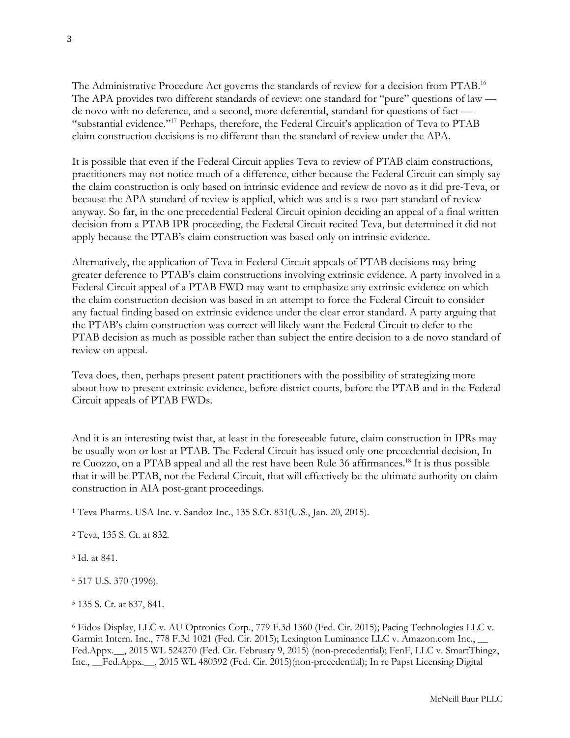The Administrative Procedure Act governs the standards of review for a decision from PTAB.16 The APA provides two different standards of review: one standard for "pure" questions of law de novo with no deference, and a second, more deferential, standard for questions of fact — "substantial evidence."17 Perhaps, therefore, the Federal Circuit's application of Teva to PTAB claim construction decisions is no different than the standard of review under the APA.

It is possible that even if the Federal Circuit applies Teva to review of PTAB claim constructions, practitioners may not notice much of a difference, either because the Federal Circuit can simply say the claim construction is only based on intrinsic evidence and review de novo as it did pre-Teva, or because the APA standard of review is applied, which was and is a two-part standard of review anyway. So far, in the one precedential Federal Circuit opinion deciding an appeal of a final written decision from a PTAB IPR proceeding, the Federal Circuit recited Teva, but determined it did not apply because the PTAB's claim construction was based only on intrinsic evidence.

Alternatively, the application of Teva in Federal Circuit appeals of PTAB decisions may bring greater deference to PTAB's claim constructions involving extrinsic evidence. A party involved in a Federal Circuit appeal of a PTAB FWD may want to emphasize any extrinsic evidence on which the claim construction decision was based in an attempt to force the Federal Circuit to consider any factual finding based on extrinsic evidence under the clear error standard. A party arguing that the PTAB's claim construction was correct will likely want the Federal Circuit to defer to the PTAB decision as much as possible rather than subject the entire decision to a de novo standard of review on appeal.

Teva does, then, perhaps present patent practitioners with the possibility of strategizing more about how to present extrinsic evidence, before district courts, before the PTAB and in the Federal Circuit appeals of PTAB FWDs.

And it is an interesting twist that, at least in the foreseeable future, claim construction in IPRs may be usually won or lost at PTAB. The Federal Circuit has issued only one precedential decision, In re Cuozzo, on a PTAB appeal and all the rest have been Rule 36 affirmances.<sup>18</sup> It is thus possible that it will be PTAB, not the Federal Circuit, that will effectively be the ultimate authority on claim construction in AIA post-grant proceedings.

<sup>1</sup> Teva Pharms. USA Inc. v. Sandoz Inc., 135 S.Ct. 831(U.S., Jan. 20, 2015).

<sup>2</sup> Teva, 135 S. Ct. at 832.

<sup>3</sup> Id. at 841.

<sup>4</sup> 517 U.S. 370 (1996).

<sup>5</sup> 135 S. Ct. at 837, 841.

<sup>6</sup> Eidos Display, LLC v. AU Optronics Corp., 779 F.3d 1360 (Fed. Cir. 2015); Pacing Technologies LLC v. Garmin Intern. Inc., 778 F.3d 1021 (Fed. Cir. 2015); Lexington Luminance LLC v. Amazon.com Inc., Fed.Appx.\_\_, 2015 WL 524270 (Fed. Cir. February 9, 2015) (non-precedential); FenF, LLC v. SmartThingz, Inc., \_\_Fed.Appx.\_\_, 2015 WL 480392 (Fed. Cir. 2015)(non-precedential); In re Papst Licensing Digital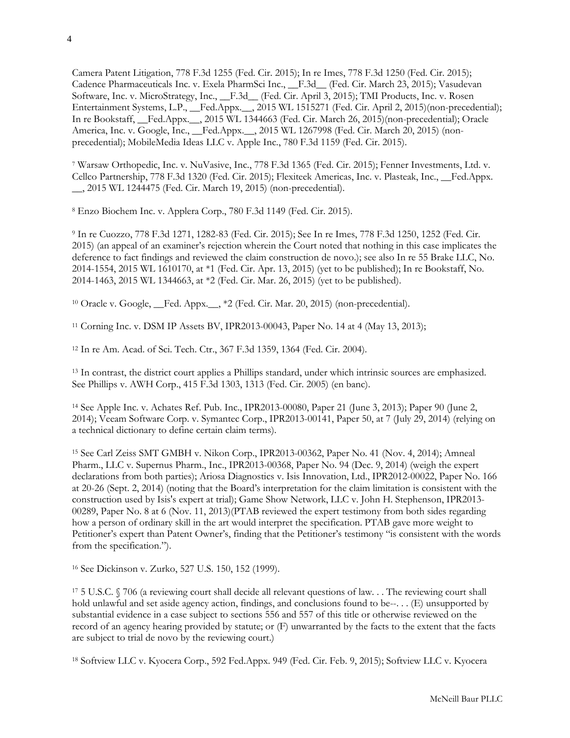Camera Patent Litigation, 778 F.3d 1255 (Fed. Cir. 2015); In re Imes, 778 F.3d 1250 (Fed. Cir. 2015); Cadence Pharmaceuticals Inc. v. Exela PharmSci Inc., \_\_F.3d\_\_ (Fed. Cir. March 23, 2015); Vasudevan Software, Inc. v. MicroStrategy, Inc., \_F.3d\_ (Fed. Cir. April 3, 2015); TMI Products, Inc. v. Rosen Entertainment Systems, L.P., Fed.Appx. \_\_, 2015 WL 1515271 (Fed. Cir. April 2, 2015)(non-precedential); In re Bookstaff, \_\_Fed.Appx.\_\_, 2015 WL 1344663 (Fed. Cir. March 26, 2015)(non-precedential); Oracle America, Inc. v. Google, Inc., \_\_Fed.Appx.\_\_, 2015 WL 1267998 (Fed. Cir. March 20, 2015) (nonprecedential); MobileMedia Ideas LLC v. Apple Inc., 780 F.3d 1159 (Fed. Cir. 2015).

<sup>7</sup> Warsaw Orthopedic, Inc. v. NuVasive, Inc., 778 F.3d 1365 (Fed. Cir. 2015); Fenner Investments, Ltd. v. Cellco Partnership, 778 F.3d 1320 (Fed. Cir. 2015); Flexiteek Americas, Inc. v. Plasteak, Inc., \_\_Fed.Appx. \_\_, 2015 WL 1244475 (Fed. Cir. March 19, 2015) (non-precedential).

<sup>8</sup> Enzo Biochem Inc. v. Applera Corp., 780 F.3d 1149 (Fed. Cir. 2015).

<sup>9</sup> In re Cuozzo, 778 F.3d 1271, 1282-83 (Fed. Cir. 2015); See In re Imes, 778 F.3d 1250, 1252 (Fed. Cir. 2015) (an appeal of an examiner's rejection wherein the Court noted that nothing in this case implicates the deference to fact findings and reviewed the claim construction de novo.); see also In re 55 Brake LLC, No. 2014-1554, 2015 WL 1610170, at \*1 (Fed. Cir. Apr. 13, 2015) (yet to be published); In re Bookstaff, No. 2014-1463, 2015 WL 1344663, at \*2 (Fed. Cir. Mar. 26, 2015) (yet to be published).

<sup>10</sup> Oracle v. Google, \_\_Fed. Appx.\_\_, \*2 (Fed. Cir. Mar. 20, 2015) (non-precedential).

<sup>11</sup> Corning Inc. v. DSM IP Assets BV, IPR2013-00043, Paper No. 14 at 4 (May 13, 2013);

<sup>12</sup> In re Am. Acad. of Sci. Tech. Ctr., 367 F.3d 1359, 1364 (Fed. Cir. 2004).

<sup>13</sup> In contrast, the district court applies a Phillips standard, under which intrinsic sources are emphasized. See Phillips v. AWH Corp., 415 F.3d 1303, 1313 (Fed. Cir. 2005) (en banc).

<sup>14</sup> See Apple Inc. v. Achates Ref. Pub. Inc., IPR2013-00080, Paper 21 (June 3, 2013); Paper 90 (June 2, 2014); Veeam Software Corp. v. Symantec Corp., IPR2013-00141, Paper 50, at 7 (July 29, 2014) (relying on a technical dictionary to define certain claim terms).

<sup>15</sup> See Carl Zeiss SMT GMBH v. Nikon Corp., IPR2013-00362, Paper No. 41 (Nov. 4, 2014); Amneal Pharm., LLC v. Supernus Pharm., Inc., IPR2013-00368, Paper No. 94 (Dec. 9, 2014) (weigh the expert declarations from both parties); Ariosa Diagnostics v. Isis Innovation, Ltd., IPR2012-00022, Paper No. 166 at 20-26 (Sept. 2, 2014) (noting that the Board's interpretation for the claim limitation is consistent with the construction used by Isis's expert at trial); Game Show Network, LLC v. John H. Stephenson, IPR2013- 00289, Paper No. 8 at 6 (Nov. 11, 2013)(PTAB reviewed the expert testimony from both sides regarding how a person of ordinary skill in the art would interpret the specification. PTAB gave more weight to Petitioner's expert than Patent Owner's, finding that the Petitioner's testimony "is consistent with the words from the specification.").

<sup>16</sup> See Dickinson v. Zurko, 527 U.S. 150, 152 (1999).

<sup>17</sup> 5 U.S.C. § 706 (a reviewing court shall decide all relevant questions of law. . . The reviewing court shall hold unlawful and set aside agency action, findings, and conclusions found to be--. . . (E) unsupported by substantial evidence in a case subject to sections 556 and 557 of this title or otherwise reviewed on the record of an agency hearing provided by statute; or (F) unwarranted by the facts to the extent that the facts are subject to trial de novo by the reviewing court.)

<sup>18</sup> Softview LLC v. Kyocera Corp., 592 Fed.Appx. 949 (Fed. Cir. Feb. 9, 2015); Softview LLC v. Kyocera